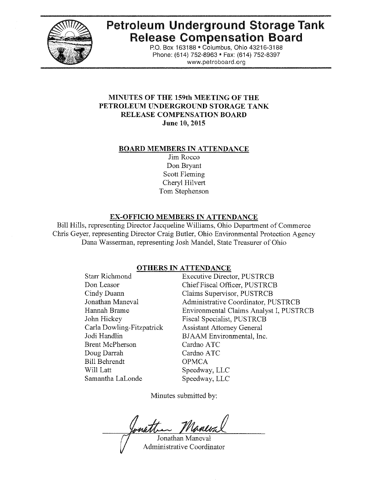

# **Petroleum Underground Storage Tank Release Compensation Board**

P.O. Box 163188 . Columbus, Ohio 43216-3188 Phone: (614) 752-8963 · Fax: (614) 752-8397 www,petroboard,org

# **MINUTES OF THE 159th MEETING OF THE PETROLEUM UNDERGROUND STORAGE TANK RELEASE COMPENSATION BOARD June 10, 2015**

#### **BOARD MEMBERS IN ATTENDANCE**

Jim Rocco Don Bryant Scott Fleming Cheryl Hilvert Tom Stephenson

### **EX-OFFICIO MEMBERS IN ATTENDANCE**

Bill Hills, representing Director Jacqueline Williams, Ohio Department of Commerce Chris Geyer, representing Director Craig Butler, Ohio Environmental Protection Agency Dana Wasserman, representing Josh Mandel, State Treasurer of Ohio

### **OTHERS IN ATTENDANCE**

| <b>Executive Director, PUSTRCB</b>      |
|-----------------------------------------|
| Chief Fiscal Officer, PUSTRCB           |
| Claims Supervisor, PUSTRCB              |
| Administrative Coordinator, PUSTRCB     |
| Environmental Claims Analyst I, PUSTRCB |
| Fiscal Specialist, PUSTRCB              |
| <b>Assistant Attorney General</b>       |
| BJAAM Environmental, Inc.               |
| Cardno ATC                              |
| Cardno ATC                              |
| <b>OPMCA</b>                            |
| Speedway, LLC                           |
| Speedway, LLC                           |
|                                         |

Minutes submitted by:

matten Jonathan Maneval

Administrative Coordinator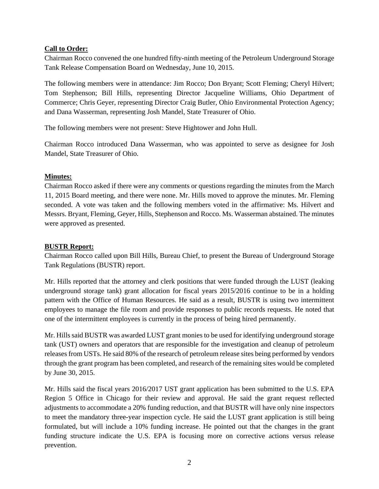# **Call to Order:**

Chairman Rocco convened the one hundred fifty-ninth meeting of the Petroleum Underground Storage Tank Release Compensation Board on Wednesday, June 10, 2015.

The following members were in attendance: Jim Rocco; Don Bryant; Scott Fleming; Cheryl Hilvert; Tom Stephenson; Bill Hills, representing Director Jacqueline Williams, Ohio Department of Commerce; Chris Geyer, representing Director Craig Butler, Ohio Environmental Protection Agency; and Dana Wasserman, representing Josh Mandel, State Treasurer of Ohio.

The following members were not present: Steve Hightower and John Hull.

Chairman Rocco introduced Dana Wasserman, who was appointed to serve as designee for Josh Mandel, State Treasurer of Ohio.

# **Minutes:**

Chairman Rocco asked if there were any comments or questions regarding the minutes from the March 11, 2015 Board meeting, and there were none. Mr. Hills moved to approve the minutes. Mr. Fleming seconded. A vote was taken and the following members voted in the affirmative: Ms. Hilvert and Messrs. Bryant, Fleming, Geyer, Hills, Stephenson and Rocco. Ms. Wasserman abstained. The minutes were approved as presented.

# **BUSTR Report:**

Chairman Rocco called upon Bill Hills, Bureau Chief, to present the Bureau of Underground Storage Tank Regulations (BUSTR) report.

Mr. Hills reported that the attorney and clerk positions that were funded through the LUST (leaking underground storage tank) grant allocation for fiscal years 2015/2016 continue to be in a holding pattern with the Office of Human Resources. He said as a result, BUSTR is using two intermittent employees to manage the file room and provide responses to public records requests. He noted that one of the intermittent employees is currently in the process of being hired permanently.

Mr. Hills said BUSTR was awarded LUST grant monies to be used for identifying underground storage tank (UST) owners and operators that are responsible for the investigation and cleanup of petroleum releases from USTs. He said 80% of the research of petroleum release sites being performed by vendors through the grant program has been completed, and research of the remaining sites would be completed by June 30, 2015.

Mr. Hills said the fiscal years 2016/2017 UST grant application has been submitted to the U.S. EPA Region 5 Office in Chicago for their review and approval. He said the grant request reflected adjustments to accommodate a 20% funding reduction, and that BUSTR will have only nine inspectors to meet the mandatory three-year inspection cycle. He said the LUST grant application is still being formulated, but will include a 10% funding increase. He pointed out that the changes in the grant funding structure indicate the U.S. EPA is focusing more on corrective actions versus release prevention.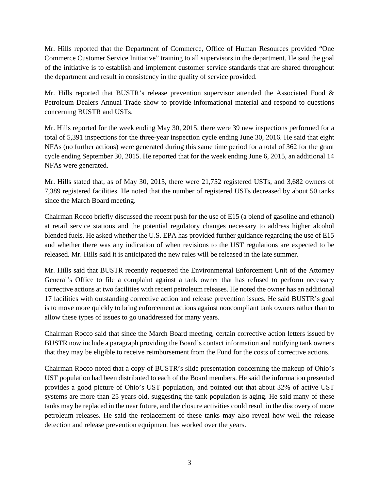Mr. Hills reported that the Department of Commerce, Office of Human Resources provided "One Commerce Customer Service Initiative" training to all supervisors in the department. He said the goal of the initiative is to establish and implement customer service standards that are shared throughout the department and result in consistency in the quality of service provided.

Mr. Hills reported that BUSTR's release prevention supervisor attended the Associated Food & Petroleum Dealers Annual Trade show to provide informational material and respond to questions concerning BUSTR and USTs.

Mr. Hills reported for the week ending May 30, 2015, there were 39 new inspections performed for a total of 5,391 inspections for the three-year inspection cycle ending June 30, 2016. He said that eight NFAs (no further actions) were generated during this same time period for a total of 362 for the grant cycle ending September 30, 2015. He reported that for the week ending June 6, 2015, an additional 14 NFAs were generated.

Mr. Hills stated that, as of May 30, 2015, there were 21,752 registered USTs, and 3,682 owners of 7,389 registered facilities. He noted that the number of registered USTs decreased by about 50 tanks since the March Board meeting.

Chairman Rocco briefly discussed the recent push for the use of E15 (a blend of gasoline and ethanol) at retail service stations and the potential regulatory changes necessary to address higher alcohol blended fuels. He asked whether the U.S. EPA has provided further guidance regarding the use of E15 and whether there was any indication of when revisions to the UST regulations are expected to be released. Mr. Hills said it is anticipated the new rules will be released in the late summer.

Mr. Hills said that BUSTR recently requested the Environmental Enforcement Unit of the Attorney General's Office to file a complaint against a tank owner that has refused to perform necessary corrective actions at two facilities with recent petroleum releases. He noted the owner has an additional 17 facilities with outstanding corrective action and release prevention issues. He said BUSTR's goal is to move more quickly to bring enforcement actions against noncompliant tank owners rather than to allow these types of issues to go unaddressed for many years.

Chairman Rocco said that since the March Board meeting, certain corrective action letters issued by BUSTR now include a paragraph providing the Board's contact information and notifying tank owners that they may be eligible to receive reimbursement from the Fund for the costs of corrective actions.

Chairman Rocco noted that a copy of BUSTR's slide presentation concerning the makeup of Ohio's UST population had been distributed to each of the Board members. He said the information presented provides a good picture of Ohio's UST population, and pointed out that about 32% of active UST systems are more than 25 years old, suggesting the tank population is aging. He said many of these tanks may be replaced in the near future, and the closure activities could result in the discovery of more petroleum releases. He said the replacement of these tanks may also reveal how well the release detection and release prevention equipment has worked over the years.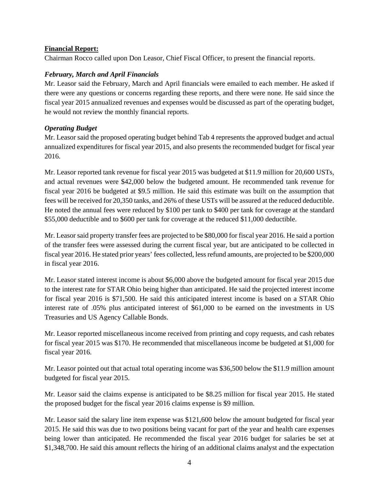## **Financial Report:**

Chairman Rocco called upon Don Leasor, Chief Fiscal Officer, to present the financial reports.

# *February, March and April Financials*

Mr. Leasor said the February, March and April financials were emailed to each member. He asked if there were any questions or concerns regarding these reports, and there were none. He said since the fiscal year 2015 annualized revenues and expenses would be discussed as part of the operating budget, he would not review the monthly financial reports.

# *Operating Budget*

Mr. Leasor said the proposed operating budget behind Tab 4 represents the approved budget and actual annualized expenditures for fiscal year 2015, and also presents the recommended budget for fiscal year 2016.

Mr. Leasor reported tank revenue for fiscal year 2015 was budgeted at \$11.9 million for 20,600 USTs, and actual revenues were \$42,000 below the budgeted amount. He recommended tank revenue for fiscal year 2016 be budgeted at \$9.5 million. He said this estimate was built on the assumption that fees will be received for 20,350 tanks, and 26% of these USTs will be assured at the reduced deductible. He noted the annual fees were reduced by \$100 per tank to \$400 per tank for coverage at the standard \$55,000 deductible and to \$600 per tank for coverage at the reduced \$11,000 deductible.

Mr. Leasor said property transfer fees are projected to be \$80,000 for fiscal year 2016. He said a portion of the transfer fees were assessed during the current fiscal year, but are anticipated to be collected in fiscal year 2016. He stated prior years' fees collected, less refund amounts, are projected to be \$200,000 in fiscal year 2016.

Mr. Leasor stated interest income is about \$6,000 above the budgeted amount for fiscal year 2015 due to the interest rate for STAR Ohio being higher than anticipated. He said the projected interest income for fiscal year 2016 is \$71,500. He said this anticipated interest income is based on a STAR Ohio interest rate of .05% plus anticipated interest of \$61,000 to be earned on the investments in US Treasuries and US Agency Callable Bonds.

Mr. Leasor reported miscellaneous income received from printing and copy requests, and cash rebates for fiscal year 2015 was \$170. He recommended that miscellaneous income be budgeted at \$1,000 for fiscal year 2016.

Mr. Leasor pointed out that actual total operating income was \$36,500 below the \$11.9 million amount budgeted for fiscal year 2015.

Mr. Leasor said the claims expense is anticipated to be \$8.25 million for fiscal year 2015. He stated the proposed budget for the fiscal year 2016 claims expense is \$9 million.

Mr. Leasor said the salary line item expense was \$121,600 below the amount budgeted for fiscal year 2015. He said this was due to two positions being vacant for part of the year and health care expenses being lower than anticipated. He recommended the fiscal year 2016 budget for salaries be set at \$1,348,700. He said this amount reflects the hiring of an additional claims analyst and the expectation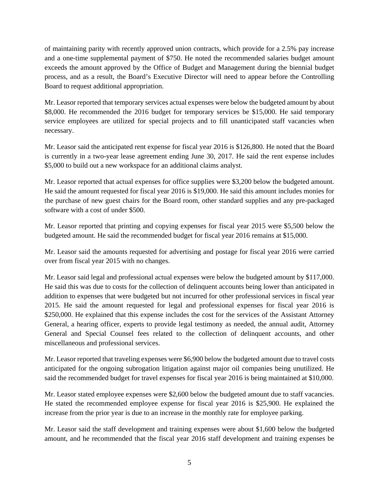of maintaining parity with recently approved union contracts, which provide for a 2.5% pay increase and a one-time supplemental payment of \$750. He noted the recommended salaries budget amount exceeds the amount approved by the Office of Budget and Management during the biennial budget process, and as a result, the Board's Executive Director will need to appear before the Controlling Board to request additional appropriation.

Mr. Leasor reported that temporary services actual expenses were below the budgeted amount by about \$8,000. He recommended the 2016 budget for temporary services be \$15,000. He said temporary service employees are utilized for special projects and to fill unanticipated staff vacancies when necessary.

Mr. Leasor said the anticipated rent expense for fiscal year 2016 is \$126,800. He noted that the Board is currently in a two-year lease agreement ending June 30, 2017. He said the rent expense includes \$5,000 to build out a new workspace for an additional claims analyst.

Mr. Leasor reported that actual expenses for office supplies were \$3,200 below the budgeted amount. He said the amount requested for fiscal year 2016 is \$19,000. He said this amount includes monies for the purchase of new guest chairs for the Board room, other standard supplies and any pre-packaged software with a cost of under \$500.

Mr. Leasor reported that printing and copying expenses for fiscal year 2015 were \$5,500 below the budgeted amount. He said the recommended budget for fiscal year 2016 remains at \$15,000.

Mr. Leasor said the amounts requested for advertising and postage for fiscal year 2016 were carried over from fiscal year 2015 with no changes.

Mr. Leasor said legal and professional actual expenses were below the budgeted amount by \$117,000. He said this was due to costs for the collection of delinquent accounts being lower than anticipated in addition to expenses that were budgeted but not incurred for other professional services in fiscal year 2015. He said the amount requested for legal and professional expenses for fiscal year 2016 is \$250,000. He explained that this expense includes the cost for the services of the Assistant Attorney General, a hearing officer, experts to provide legal testimony as needed, the annual audit, Attorney General and Special Counsel fees related to the collection of delinquent accounts, and other miscellaneous and professional services.

Mr. Leasor reported that traveling expenses were \$6,900 below the budgeted amount due to travel costs anticipated for the ongoing subrogation litigation against major oil companies being unutilized. He said the recommended budget for travel expenses for fiscal year 2016 is being maintained at \$10,000.

Mr. Leasor stated employee expenses were \$2,600 below the budgeted amount due to staff vacancies. He stated the recommended employee expense for fiscal year 2016 is \$25,900. He explained the increase from the prior year is due to an increase in the monthly rate for employee parking.

Mr. Leasor said the staff development and training expenses were about \$1,600 below the budgeted amount, and he recommended that the fiscal year 2016 staff development and training expenses be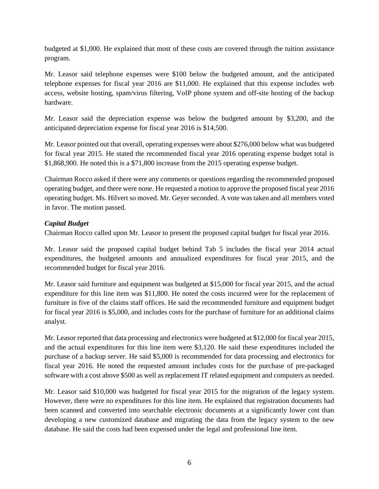budgeted at \$1,000. He explained that most of these costs are covered through the tuition assistance program.

Mr. Leasor said telephone expenses were \$100 below the budgeted amount, and the anticipated telephone expenses for fiscal year 2016 are \$11,000. He explained that this expense includes web access, website hosting, spam/virus filtering, VoIP phone system and off-site hosting of the backup hardware.

Mr. Leasor said the depreciation expense was below the budgeted amount by \$3,200, and the anticipated depreciation expense for fiscal year 2016 is \$14,500.

Mr. Leasor pointed out that overall, operating expenses were about \$276,000 below what was budgeted for fiscal year 2015. He stated the recommended fiscal year 2016 operating expense budget total is \$1,868,900. He noted this is a \$71,800 increase from the 2015 operating expense budget.

Chairman Rocco asked if there were any comments or questions regarding the recommended proposed operating budget, and there were none. He requested a motion to approve the proposed fiscal year 2016 operating budget. Ms. Hilvert so moved. Mr. Geyer seconded. A vote was taken and all members voted in favor. The motion passed.

# *Capital Budget*

Chairman Rocco called upon Mr. Leasor to present the proposed capital budget for fiscal year 2016.

Mr. Leasor said the proposed capital budget behind Tab 5 includes the fiscal year 2014 actual expenditures, the budgeted amounts and annualized expenditures for fiscal year 2015, and the recommended budget for fiscal year 2016.

Mr. Leasor said furniture and equipment was budgeted at \$15,000 for fiscal year 2015, and the actual expenditure for this line item was \$11,800. He noted the costs incurred were for the replacement of furniture in five of the claims staff offices. He said the recommended furniture and equipment budget for fiscal year 2016 is \$5,000, and includes costs for the purchase of furniture for an additional claims analyst.

Mr. Leasor reported that data processing and electronics were budgeted at \$12,000 for fiscal year 2015, and the actual expenditures for this line item were \$3,120. He said these expenditures included the purchase of a backup server. He said \$5,000 is recommended for data processing and electronics for fiscal year 2016. He noted the requested amount includes costs for the purchase of pre-packaged software with a cost above \$500 as well as replacement IT related equipment and computers as needed.

Mr. Leasor said \$10,000 was budgeted for fiscal year 2015 for the migration of the legacy system. However, there were no expenditures for this line item. He explained that registration documents had been scanned and converted into searchable electronic documents at a significantly lower cost than developing a new customized database and migrating the data from the legacy system to the new database. He said the costs had been expensed under the legal and professional line item.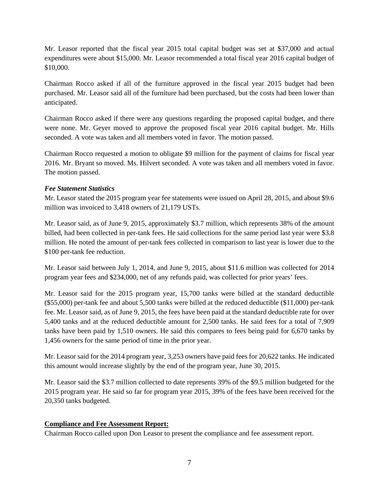Mr. Leasor reported that the fiscal year 2015 total capital budget was set at \$37,000 and actual expenditures were about \$15,000. Mr. Leasor recommended a total fiscal year 2016 capital budget of \$10,000.

Chairman Rocco asked if all of the furniture approved in the fiscal year 2015 budget had been purchased. Mr. Leasor said all of the furniture had been purchased, but the costs had been lower than anticipated.

Chairman Rocco asked if there were any questions regarding the proposed capital budget, and there were none. Mr. Geyer moved to approve the proposed fiscal year 2016 capital budget. Mr. Hills seconded. A vote was taken and all members voted in favor. The motion passed.

Chairman Rocco requested a motion to obligate \$9 million for the payment of claims for fiscal year 2016. Mr. Bryant so moved. Ms. Hilvert seconded. A vote was taken and all members voted in favor. The motion passed.

# *Fee Statement Statistics*

Mr. Leasor stated the 2015 program year fee statements were issued on April 28, 2015, and about \$9.6 million was invoiced to 3,418 owners of 21,179 USTs.

Mr. Leasor said, as of June 9, 2015, approximately \$3.7 million, which represents 38% of the amount billed, had been collected in per-tank fees. He said collections for the same period last year were \$3.8 million. He noted the amount of per-tank fees collected in comparison to last year is lower due to the \$100 per-tank fee reduction.

Mr. Leasor said between July 1, 2014, and June 9, 2015, about \$11.6 million was collected for 2014 program year fees and \$234,000, net of any refunds paid, was collected for prior years' fees.

Mr. Leasor said for the 2015 program year, 15,700 tanks were billed at the standard deductible (\$55,000) per-tank fee and about 5,500 tanks were billed at the reduced deductible (\$11,000) per-tank fee. Mr. Leasor said, as of June 9, 2015, the fees have been paid at the standard deductible rate for over 5,400 tanks and at the reduced deductible amount for 2,500 tanks. He said fees for a total of 7,909 tanks have been paid by 1,510 owners. He said this compares to fees being paid for 6,670 tanks by 1,456 owners for the same period of time in the prior year.

Mr. Leasor said for the 2014 program year, 3,253 owners have paid fees for 20,622 tanks. He indicated this amount would increase slightly by the end of the program year, June 30, 2015.

Mr. Leasor said the \$3.7 million collected to date represents 39% of the \$9.5 million budgeted for the 2015 program year. He said so far for program year 2015, 39% of the fees have been received for the 20,350 tanks budgeted.

### **Compliance and Fee Assessment Report:**

Chairman Rocco called upon Don Leasor to present the compliance and fee assessment report.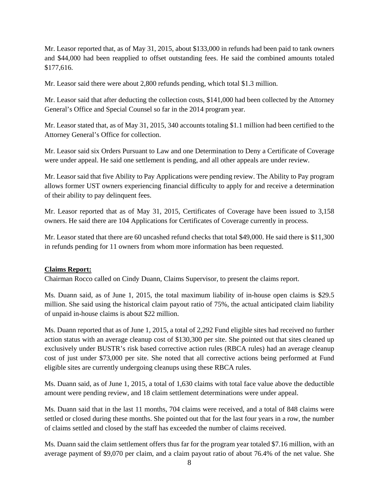Mr. Leasor reported that, as of May 31, 2015, about \$133,000 in refunds had been paid to tank owners and \$44,000 had been reapplied to offset outstanding fees. He said the combined amounts totaled \$177,616.

Mr. Leasor said there were about 2,800 refunds pending, which total \$1.3 million.

Mr. Leasor said that after deducting the collection costs, \$141,000 had been collected by the Attorney General's Office and Special Counsel so far in the 2014 program year.

Mr. Leasor stated that, as of May 31, 2015, 340 accounts totaling \$1.1 million had been certified to the Attorney General's Office for collection.

Mr. Leasor said six Orders Pursuant to Law and one Determination to Deny a Certificate of Coverage were under appeal. He said one settlement is pending, and all other appeals are under review.

Mr. Leasor said that five Ability to Pay Applications were pending review. The Ability to Pay program allows former UST owners experiencing financial difficulty to apply for and receive a determination of their ability to pay delinquent fees.

Mr. Leasor reported that as of May 31, 2015, Certificates of Coverage have been issued to 3,158 owners. He said there are 104 Applications for Certificates of Coverage currently in process.

Mr. Leasor stated that there are 60 uncashed refund checks that total \$49,000. He said there is \$11,300 in refunds pending for 11 owners from whom more information has been requested.

# **Claims Report:**

Chairman Rocco called on Cindy Duann, Claims Supervisor, to present the claims report.

Ms. Duann said, as of June 1, 2015, the total maximum liability of in-house open claims is \$29.5 million. She said using the historical claim payout ratio of 75%, the actual anticipated claim liability of unpaid in-house claims is about \$22 million.

Ms. Duann reported that as of June 1, 2015, a total of 2,292 Fund eligible sites had received no further action status with an average cleanup cost of \$130,300 per site. She pointed out that sites cleaned up exclusively under BUSTR's risk based corrective action rules (RBCA rules) had an average cleanup cost of just under \$73,000 per site. She noted that all corrective actions being performed at Fund eligible sites are currently undergoing cleanups using these RBCA rules.

Ms. Duann said, as of June 1, 2015, a total of 1,630 claims with total face value above the deductible amount were pending review, and 18 claim settlement determinations were under appeal.

Ms. Duann said that in the last 11 months, 704 claims were received, and a total of 848 claims were settled or closed during these months. She pointed out that for the last four years in a row, the number of claims settled and closed by the staff has exceeded the number of claims received.

Ms. Duann said the claim settlement offers thus far for the program year totaled \$7.16 million, with an average payment of \$9,070 per claim, and a claim payout ratio of about 76.4% of the net value. She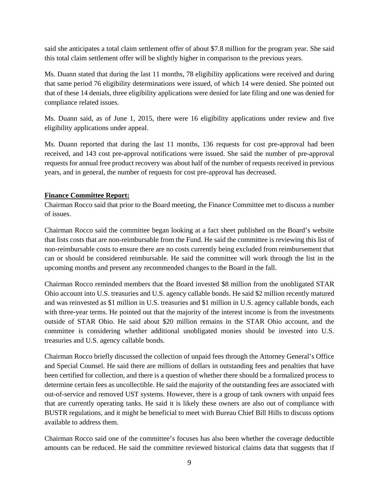said she anticipates a total claim settlement offer of about \$7.8 million for the program year. She said this total claim settlement offer will be slightly higher in comparison to the previous years.

Ms. Duann stated that during the last 11 months, 78 eligibility applications were received and during that same period 76 eligibility determinations were issued, of which 14 were denied. She pointed out that of these 14 denials, three eligibility applications were denied for late filing and one was denied for compliance related issues.

Ms. Duann said, as of June 1, 2015, there were 16 eligibility applications under review and five eligibility applications under appeal.

Ms. Duann reported that during the last 11 months, 136 requests for cost pre-approval had been received, and 143 cost pre-approval notifications were issued. She said the number of pre-approval requests for annual free product recovery was about half of the number of requests received in previous years, and in general, the number of requests for cost pre-approval has decreased.

# **Finance Committee Report:**

Chairman Rocco said that prior to the Board meeting, the Finance Committee met to discuss a number of issues.

Chairman Rocco said the committee began looking at a fact sheet published on the Board's website that lists costs that are non-reimbursable from the Fund. He said the committee is reviewing this list of non-reimbursable costs to ensure there are no costs currently being excluded from reimbursement that can or should be considered reimbursable. He said the committee will work through the list in the upcoming months and present any recommended changes to the Board in the fall.

Chairman Rocco reminded members that the Board invested \$8 million from the unobligated STAR Ohio account into U.S. treasuries and U.S. agency callable bonds. He said \$2 million recently matured and was reinvested as \$1 million in U.S. treasuries and \$1 million in U.S. agency callable bonds, each with three-year terms. He pointed out that the majority of the interest income is from the investments outside of STAR Ohio. He said about \$20 million remains in the STAR Ohio account, and the committee is considering whether additional unobligated monies should be invested into U.S. treasuries and U.S. agency callable bonds.

Chairman Rocco briefly discussed the collection of unpaid fees through the Attorney General's Office and Special Counsel. He said there are millions of dollars in outstanding fees and penalties that have been certified for collection, and there is a question of whether there should be a formalized process to determine certain fees as uncollectible. He said the majority of the outstanding fees are associated with out-of-service and removed UST systems. However, there is a group of tank owners with unpaid fees that are currently operating tanks. He said it is likely these owners are also out of compliance with BUSTR regulations, and it might be beneficial to meet with Bureau Chief Bill Hills to discuss options available to address them.

Chairman Rocco said one of the committee's focuses has also been whether the coverage deductible amounts can be reduced. He said the committee reviewed historical claims data that suggests that if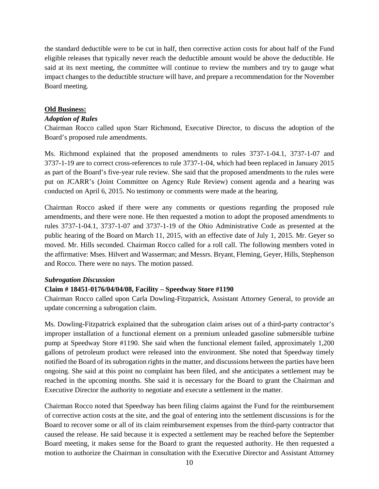the standard deductible were to be cut in half, then corrective action costs for about half of the Fund eligible releases that typically never reach the deductible amount would be above the deductible. He said at its next meeting, the committee will continue to review the numbers and try to gauge what impact changes to the deductible structure will have, and prepare a recommendation for the November Board meeting.

#### **Old Business:**

### *Adoption of Rules*

Chairman Rocco called upon Starr Richmond, Executive Director, to discuss the adoption of the Board's proposed rule amendments.

Ms. Richmond explained that the proposed amendments to rules 3737-1-04.1, 3737-1-07 and 3737-1-19 are to correct cross-references to rule 3737-1-04, which had been replaced in January 2015 as part of the Board's five-year rule review. She said that the proposed amendments to the rules were put on JCARR's (Joint Committee on Agency Rule Review) consent agenda and a hearing was conducted on April 6, 2015. No testimony or comments were made at the hearing.

Chairman Rocco asked if there were any comments or questions regarding the proposed rule amendments, and there were none. He then requested a motion to adopt the proposed amendments to rules 3737-1-04.1, 3737-1-07 and 3737-1-19 of the Ohio Administrative Code as presented at the public hearing of the Board on March 11, 2015, with an effective date of July 1, 2015. Mr. Geyer so moved. Mr. Hills seconded. Chairman Rocco called for a roll call. The following members voted in the affirmative: Mses. Hilvert and Wasserman; and Messrs. Bryant, Fleming, Geyer, Hills, Stephenson and Rocco. There were no nays. The motion passed.

#### *Subrogation Discussion*

### **Claim # 18451-0176/04/04/08, Facility – Speedway Store #1190**

Chairman Rocco called upon Carla Dowling-Fitzpatrick, Assistant Attorney General, to provide an update concerning a subrogation claim.

Ms. Dowling-Fitzpatrick explained that the subrogation claim arises out of a third-party contractor's improper installation of a functional element on a premium unleaded gasoline submersible turbine pump at Speedway Store #1190. She said when the functional element failed, approximately 1,200 gallons of petroleum product were released into the environment. She noted that Speedway timely notified the Board of its subrogation rights in the matter, and discussions between the parties have been ongoing. She said at this point no complaint has been filed, and she anticipates a settlement may be reached in the upcoming months. She said it is necessary for the Board to grant the Chairman and Executive Director the authority to negotiate and execute a settlement in the matter.

Chairman Rocco noted that Speedway has been filing claims against the Fund for the reimbursement of corrective action costs at the site, and the goal of entering into the settlement discussions is for the Board to recover some or all of its claim reimbursement expenses from the third-party contractor that caused the release. He said because it is expected a settlement may be reached before the September Board meeting, it makes sense for the Board to grant the requested authority. He then requested a motion to authorize the Chairman in consultation with the Executive Director and Assistant Attorney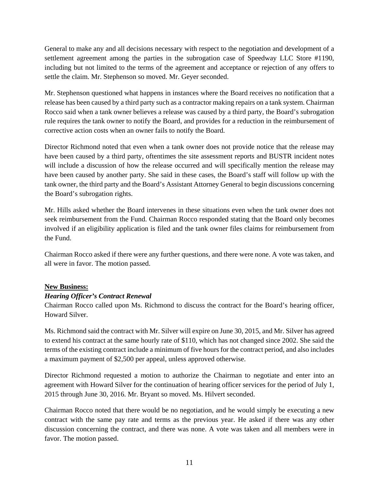General to make any and all decisions necessary with respect to the negotiation and development of a settlement agreement among the parties in the subrogation case of Speedway LLC Store #1190, including but not limited to the terms of the agreement and acceptance or rejection of any offers to settle the claim. Mr. Stephenson so moved. Mr. Geyer seconded.

Mr. Stephenson questioned what happens in instances where the Board receives no notification that a release has been caused by a third party such as a contractor making repairs on a tank system. Chairman Rocco said when a tank owner believes a release was caused by a third party, the Board's subrogation rule requires the tank owner to notify the Board, and provides for a reduction in the reimbursement of corrective action costs when an owner fails to notify the Board.

Director Richmond noted that even when a tank owner does not provide notice that the release may have been caused by a third party, oftentimes the site assessment reports and BUSTR incident notes will include a discussion of how the release occurred and will specifically mention the release may have been caused by another party. She said in these cases, the Board's staff will follow up with the tank owner, the third party and the Board's Assistant Attorney General to begin discussions concerning the Board's subrogation rights.

Mr. Hills asked whether the Board intervenes in these situations even when the tank owner does not seek reimbursement from the Fund. Chairman Rocco responded stating that the Board only becomes involved if an eligibility application is filed and the tank owner files claims for reimbursement from the Fund.

Chairman Rocco asked if there were any further questions, and there were none. A vote was taken, and all were in favor. The motion passed.

### **New Business:**

# *Hearing Officer's Contract Renewal*

Chairman Rocco called upon Ms. Richmond to discuss the contract for the Board's hearing officer, Howard Silver.

Ms. Richmond said the contract with Mr. Silver will expire on June 30, 2015, and Mr. Silver has agreed to extend his contract at the same hourly rate of \$110, which has not changed since 2002. She said the terms of the existing contract include a minimum of five hours for the contract period, and also includes a maximum payment of \$2,500 per appeal, unless approved otherwise.

Director Richmond requested a motion to authorize the Chairman to negotiate and enter into an agreement with Howard Silver for the continuation of hearing officer services for the period of July 1, 2015 through June 30, 2016. Mr. Bryant so moved. Ms. Hilvert seconded.

Chairman Rocco noted that there would be no negotiation, and he would simply be executing a new contract with the same pay rate and terms as the previous year. He asked if there was any other discussion concerning the contract, and there was none. A vote was taken and all members were in favor. The motion passed.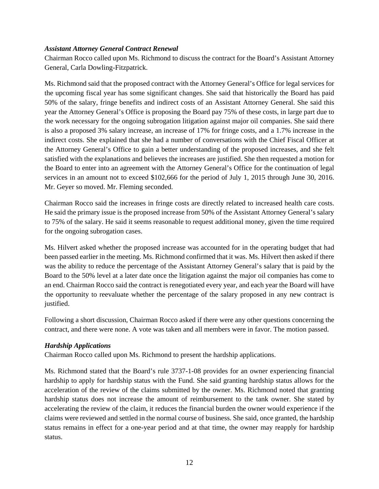### *Assistant Attorney General Contract Renewal*

Chairman Rocco called upon Ms. Richmond to discuss the contract for the Board's Assistant Attorney General, Carla Dowling-Fitzpatrick.

Ms. Richmond said that the proposed contract with the Attorney General's Office for legal services for the upcoming fiscal year has some significant changes. She said that historically the Board has paid 50% of the salary, fringe benefits and indirect costs of an Assistant Attorney General. She said this year the Attorney General's Office is proposing the Board pay 75% of these costs, in large part due to the work necessary for the ongoing subrogation litigation against major oil companies. She said there is also a proposed 3% salary increase, an increase of 17% for fringe costs, and a 1.7% increase in the indirect costs. She explained that she had a number of conversations with the Chief Fiscal Officer at the Attorney General's Office to gain a better understanding of the proposed increases, and she felt satisfied with the explanations and believes the increases are justified. She then requested a motion for the Board to enter into an agreement with the Attorney General's Office for the continuation of legal services in an amount not to exceed \$102,666 for the period of July 1, 2015 through June 30, 2016. Mr. Geyer so moved. Mr. Fleming seconded.

Chairman Rocco said the increases in fringe costs are directly related to increased health care costs. He said the primary issue is the proposed increase from 50% of the Assistant Attorney General's salary to 75% of the salary. He said it seems reasonable to request additional money, given the time required for the ongoing subrogation cases.

Ms. Hilvert asked whether the proposed increase was accounted for in the operating budget that had been passed earlier in the meeting. Ms. Richmond confirmed that it was. Ms. Hilvert then asked if there was the ability to reduce the percentage of the Assistant Attorney General's salary that is paid by the Board to the 50% level at a later date once the litigation against the major oil companies has come to an end. Chairman Rocco said the contract is renegotiated every year, and each year the Board will have the opportunity to reevaluate whether the percentage of the salary proposed in any new contract is justified.

Following a short discussion, Chairman Rocco asked if there were any other questions concerning the contract, and there were none. A vote was taken and all members were in favor. The motion passed.

### *Hardship Applications*

Chairman Rocco called upon Ms. Richmond to present the hardship applications.

Ms. Richmond stated that the Board's rule 3737-1-08 provides for an owner experiencing financial hardship to apply for hardship status with the Fund. She said granting hardship status allows for the acceleration of the review of the claims submitted by the owner. Ms. Richmond noted that granting hardship status does not increase the amount of reimbursement to the tank owner. She stated by accelerating the review of the claim, it reduces the financial burden the owner would experience if the claims were reviewed and settled in the normal course of business. She said, once granted, the hardship status remains in effect for a one-year period and at that time, the owner may reapply for hardship status.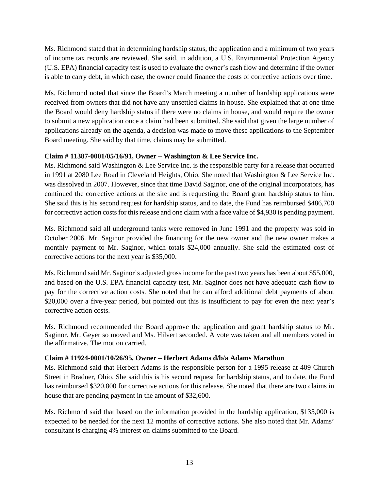Ms. Richmond stated that in determining hardship status, the application and a minimum of two years of income tax records are reviewed. She said, in addition, a U.S. Environmental Protection Agency (U.S. EPA) financial capacity test is used to evaluate the owner's cash flow and determine if the owner is able to carry debt, in which case, the owner could finance the costs of corrective actions over time.

Ms. Richmond noted that since the Board's March meeting a number of hardship applications were received from owners that did not have any unsettled claims in house. She explained that at one time the Board would deny hardship status if there were no claims in house, and would require the owner to submit a new application once a claim had been submitted. She said that given the large number of applications already on the agenda, a decision was made to move these applications to the September Board meeting. She said by that time, claims may be submitted.

# **Claim # 11387-0001/05/16/91, Owner – Washington & Lee Service Inc.**

Ms. Richmond said Washington & Lee Service Inc. is the responsible party for a release that occurred in 1991 at 2080 Lee Road in Cleveland Heights, Ohio. She noted that Washington & Lee Service Inc. was dissolved in 2007. However, since that time David Saginor, one of the original incorporators, has continued the corrective actions at the site and is requesting the Board grant hardship status to him. She said this is his second request for hardship status, and to date, the Fund has reimbursed \$486,700 for corrective action costs for this release and one claim with a face value of \$4,930 is pending payment.

Ms. Richmond said all underground tanks were removed in June 1991 and the property was sold in October 2006. Mr. Saginor provided the financing for the new owner and the new owner makes a monthly payment to Mr. Saginor, which totals \$24,000 annually. She said the estimated cost of corrective actions for the next year is \$35,000.

Ms. Richmond said Mr. Saginor's adjusted gross income for the past two years has been about \$55,000, and based on the U.S. EPA financial capacity test, Mr. Saginor does not have adequate cash flow to pay for the corrective action costs. She noted that he can afford additional debt payments of about \$20,000 over a five-year period, but pointed out this is insufficient to pay for even the next year's corrective action costs.

Ms. Richmond recommended the Board approve the application and grant hardship status to Mr. Saginor. Mr. Geyer so moved and Ms. Hilvert seconded. A vote was taken and all members voted in the affirmative. The motion carried.

# **Claim # 11924-0001/10/26/95, Owner – Herbert Adams d/b/a Adams Marathon**

Ms. Richmond said that Herbert Adams is the responsible person for a 1995 release at 409 Church Street in Bradner, Ohio. She said this is his second request for hardship status, and to date, the Fund has reimbursed \$320,800 for corrective actions for this release. She noted that there are two claims in house that are pending payment in the amount of \$32,600.

Ms. Richmond said that based on the information provided in the hardship application, \$135,000 is expected to be needed for the next 12 months of corrective actions. She also noted that Mr. Adams' consultant is charging 4% interest on claims submitted to the Board.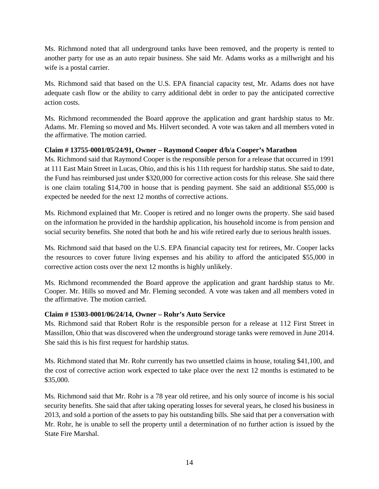Ms. Richmond noted that all underground tanks have been removed, and the property is rented to another party for use as an auto repair business. She said Mr. Adams works as a millwright and his wife is a postal carrier.

Ms. Richmond said that based on the U.S. EPA financial capacity test, Mr. Adams does not have adequate cash flow or the ability to carry additional debt in order to pay the anticipated corrective action costs.

Ms. Richmond recommended the Board approve the application and grant hardship status to Mr. Adams. Mr. Fleming so moved and Ms. Hilvert seconded. A vote was taken and all members voted in the affirmative. The motion carried.

# **Claim # 13755-0001/05/24/91, Owner – Raymond Cooper d/b/a Cooper's Marathon**

Ms. Richmond said that Raymond Cooper is the responsible person for a release that occurred in 1991 at 111 East Main Street in Lucas, Ohio, and this is his 11th request for hardship status. She said to date, the Fund has reimbursed just under \$320,000 for corrective action costs for this release. She said there is one claim totaling \$14,700 in house that is pending payment. She said an additional \$55,000 is expected be needed for the next 12 months of corrective actions.

Ms. Richmond explained that Mr. Cooper is retired and no longer owns the property. She said based on the information he provided in the hardship application, his household income is from pension and social security benefits. She noted that both he and his wife retired early due to serious health issues.

Ms. Richmond said that based on the U.S. EPA financial capacity test for retirees, Mr. Cooper lacks the resources to cover future living expenses and his ability to afford the anticipated \$55,000 in corrective action costs over the next 12 months is highly unlikely.

Ms. Richmond recommended the Board approve the application and grant hardship status to Mr. Cooper. Mr. Hills so moved and Mr. Fleming seconded. A vote was taken and all members voted in the affirmative. The motion carried.

# **Claim # 15303-0001/06/24/14, Owner – Rohr's Auto Service**

Ms. Richmond said that Robert Rohr is the responsible person for a release at 112 First Street in Massillon, Ohio that was discovered when the underground storage tanks were removed in June 2014. She said this is his first request for hardship status.

Ms. Richmond stated that Mr. Rohr currently has two unsettled claims in house, totaling \$41,100, and the cost of corrective action work expected to take place over the next 12 months is estimated to be \$35,000.

Ms. Richmond said that Mr. Rohr is a 78 year old retiree, and his only source of income is his social security benefits. She said that after taking operating losses for several years, he closed his business in 2013, and sold a portion of the assets to pay his outstanding bills. She said that per a conversation with Mr. Rohr, he is unable to sell the property until a determination of no further action is issued by the State Fire Marshal.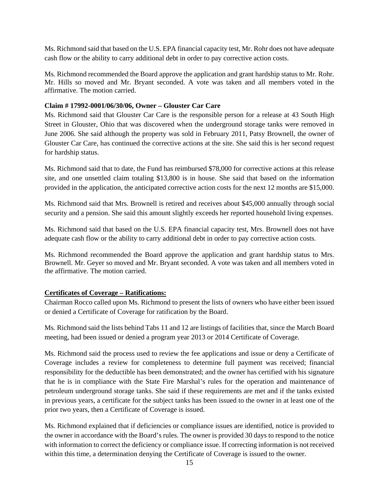Ms. Richmond said that based on the U.S. EPA financial capacity test, Mr. Rohr does not have adequate cash flow or the ability to carry additional debt in order to pay corrective action costs.

Ms. Richmond recommended the Board approve the application and grant hardship status to Mr. Rohr. Mr. Hills so moved and Mr. Bryant seconded. A vote was taken and all members voted in the affirmative. The motion carried.

### **Claim # 17992-0001/06/30/06, Owner – Glouster Car Care**

Ms. Richmond said that Glouster Car Care is the responsible person for a release at 43 South High Street in Glouster, Ohio that was discovered when the underground storage tanks were removed in June 2006. She said although the property was sold in February 2011, Patsy Brownell, the owner of Glouster Car Care, has continued the corrective actions at the site. She said this is her second request for hardship status.

Ms. Richmond said that to date, the Fund has reimbursed \$78,000 for corrective actions at this release site, and one unsettled claim totaling \$13,800 is in house. She said that based on the information provided in the application, the anticipated corrective action costs for the next 12 months are \$15,000.

Ms. Richmond said that Mrs. Brownell is retired and receives about \$45,000 annually through social security and a pension. She said this amount slightly exceeds her reported household living expenses.

Ms. Richmond said that based on the U.S. EPA financial capacity test, Mrs. Brownell does not have adequate cash flow or the ability to carry additional debt in order to pay corrective action costs.

Ms. Richmond recommended the Board approve the application and grant hardship status to Mrs. Brownell. Mr. Geyer so moved and Mr. Bryant seconded. A vote was taken and all members voted in the affirmative. The motion carried.

### **Certificates of Coverage – Ratifications:**

Chairman Rocco called upon Ms. Richmond to present the lists of owners who have either been issued or denied a Certificate of Coverage for ratification by the Board.

Ms. Richmond said the lists behind Tabs 11 and 12 are listings of facilities that, since the March Board meeting, had been issued or denied a program year 2013 or 2014 Certificate of Coverage.

Ms. Richmond said the process used to review the fee applications and issue or deny a Certificate of Coverage includes a review for completeness to determine full payment was received; financial responsibility for the deductible has been demonstrated; and the owner has certified with his signature that he is in compliance with the State Fire Marshal's rules for the operation and maintenance of petroleum underground storage tanks. She said if these requirements are met and if the tanks existed in previous years, a certificate for the subject tanks has been issued to the owner in at least one of the prior two years, then a Certificate of Coverage is issued.

Ms. Richmond explained that if deficiencies or compliance issues are identified, notice is provided to the owner in accordance with the Board's rules. The owner is provided 30 days to respond to the notice with information to correct the deficiency or compliance issue. If correcting information is not received within this time, a determination denying the Certificate of Coverage is issued to the owner.